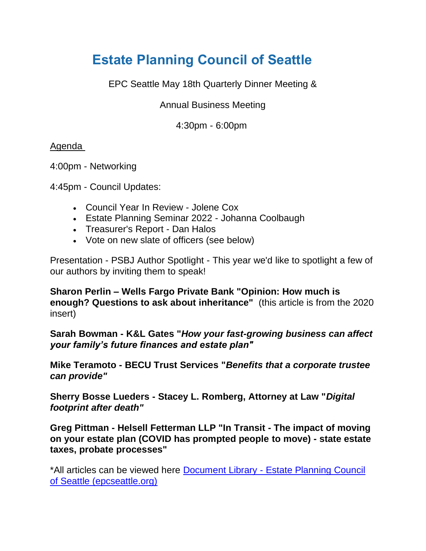# **[Estate Planning Council of Seattle](https://www.epcseattle.org/)**

EPC Seattle May 18th Quarterly Dinner Meeting &

Annual Business Meeting

4:30pm - 6:00pm

### Agenda

4:00pm - Networking

4:45pm - Council Updates:

- Council Year In Review Jolene Cox
- Estate Planning Seminar 2022 Johanna Coolbaugh
- Treasurer's Report Dan Halos
- Vote on new slate of officers (see below)

Presentation - PSBJ Author Spotlight - This year we'd like to spotlight a few of our authors by inviting them to speak!

**Sharon Perlin – Wells Fargo Private Bank "Opinion: How much is enough? Questions to ask about inheritance"** (this article is from the 2020 insert)

**Sarah Bowman - K&L Gates "***How your fast-growing business can affect your family's future finances and estate plan"*

**Mike Teramoto - BECU Trust Services "***Benefits that a corporate trustee can provide"*

**Sherry Bosse Lueders - Stacey L. Romberg, Attorney at Law "***Digital footprint after death"*

**Greg Pittman - Helsell Fetterman LLP "In Transit - The impact of moving on your estate plan (COVID has prompted people to move) - state estate taxes, probate processes"**

\*All articles can be viewed here Document Library - [Estate Planning Council](https://www.epcseattle.org/council/documents)  [of Seattle \(epcseattle.org\)](https://www.epcseattle.org/council/documents)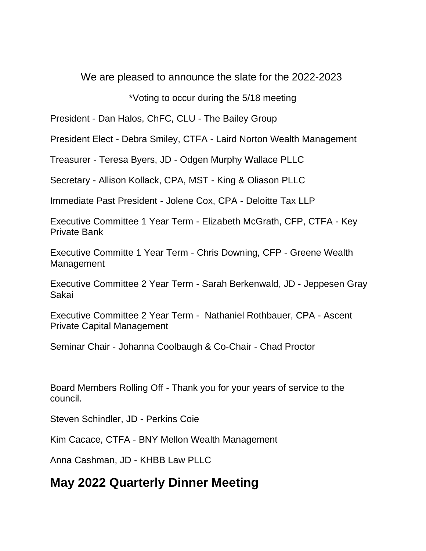# We are pleased to announce the slate for the 2022-2023

## \*Voting to occur during the 5/18 meeting

President - Dan Halos, ChFC, CLU - The Bailey Group

President Elect - Debra Smiley, CTFA - Laird Norton Wealth Management

Treasurer - Teresa Byers, JD - Odgen Murphy Wallace PLLC

Secretary - Allison Kollack, CPA, MST - King & Oliason PLLC

Immediate Past President - Jolene Cox, CPA - Deloitte Tax LLP

Executive Committee 1 Year Term - Elizabeth McGrath, CFP, CTFA - Key Private Bank

Executive Committe 1 Year Term - Chris Downing, CFP - Greene Wealth Management

Executive Committee 2 Year Term - Sarah Berkenwald, JD - Jeppesen Gray Sakai

Executive Committee 2 Year Term - Nathaniel Rothbauer, CPA - Ascent Private Capital Management

Seminar Chair - Johanna Coolbaugh & Co-Chair - Chad Proctor

Board Members Rolling Off - Thank you for your years of service to the council.

Steven Schindler, JD - Perkins Coie

Kim Cacace, CTFA - BNY Mellon Wealth Management

Anna Cashman, JD - KHBB Law PLLC

# **May 2022 Quarterly Dinner Meeting**